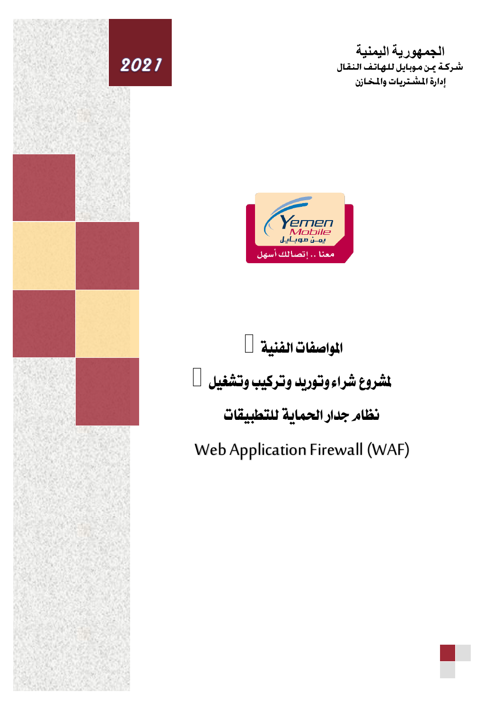ا**لجمهورية اليمنية**<br>شركة <sub>ت</sub>ن موبايل للهاتف النقال إدارة المشتريات والمخازن



2021

## املواصفات الفنية ملشروع شراء وتوريد وتركيب وتشغيل نظام جدار الحماية للتطبيقات Web Application Firewall (WAF)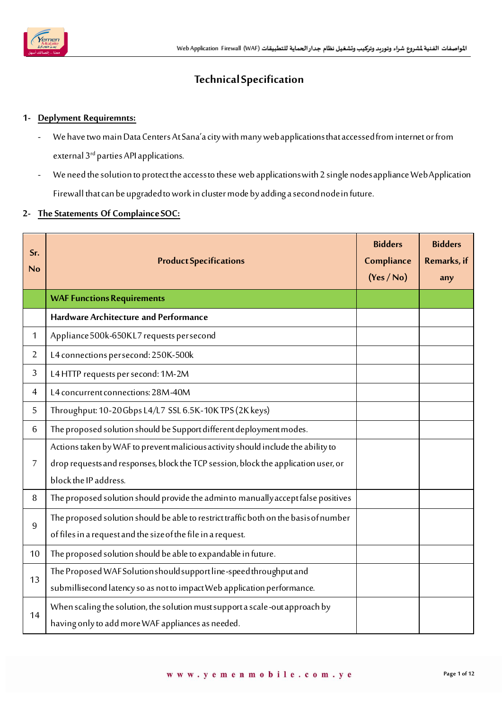

## **Technical Specification**

## **1- Deplyment Requiremnts:**

- We have two main Data Centers At Sana'a city with many web applications that accessed from internet or from external 3<sup>rd</sup> parties API applications.
- We need the solution to protect the access to these web applications with 2 single nodes appliance Web Application Firewall that can be upgraded to work in cluster mode by adding a second node in future.

## **2- The Statements Of Complaince SOC:**

| Sr.<br><b>No</b> | <b>Product Specifications</b>                                                        | <b>Bidders</b><br>Compliance<br>(Yes / No) | <b>Bidders</b><br>Remarks, if<br>any |
|------------------|--------------------------------------------------------------------------------------|--------------------------------------------|--------------------------------------|
|                  | <b>WAF Functions Requirements</b>                                                    |                                            |                                      |
|                  | Hardware Architecture and Performance                                                |                                            |                                      |
| 1                | Appliance 500k-650KL7 requests persecond                                             |                                            |                                      |
| $\overline{2}$   | L4 connections persecond: 250K-500k                                                  |                                            |                                      |
| 3                | L4 HTTP requests per second: 1M-2M                                                   |                                            |                                      |
| $\overline{4}$   | L4 concurrent connections: 28M-40M                                                   |                                            |                                      |
| 5                | Throughput: 10-20 Gbps L4/L7 SSL 6.5K-10K TPS (2K keys)                              |                                            |                                      |
| 6                | The proposed solution should be Support different deployment modes.                  |                                            |                                      |
|                  | Actions taken by WAF to prevent malicious activity should include the ability to     |                                            |                                      |
| 7                | drop requests and responses, block the TCP session, block the application user, or   |                                            |                                      |
|                  | block the IP address.                                                                |                                            |                                      |
| 8                | The proposed solution should provide the adminto manually accept false positives     |                                            |                                      |
| $\overline{9}$   | The proposed solution should be able to restrict traffic both on the basis of number |                                            |                                      |
|                  | of files in a request and the size of the file in a request.                         |                                            |                                      |
| 10               | The proposed solution should be able to expandable in future.                        |                                            |                                      |
| 13               | The Proposed WAF Solution should support line-speed throughput and                   |                                            |                                      |
|                  | submillisecond latency so as not to impact Web application performance.              |                                            |                                      |
| 14               | When scaling the solution, the solution must support a scale-out approach by         |                                            |                                      |
|                  | having only to add more WAF appliances as needed.                                    |                                            |                                      |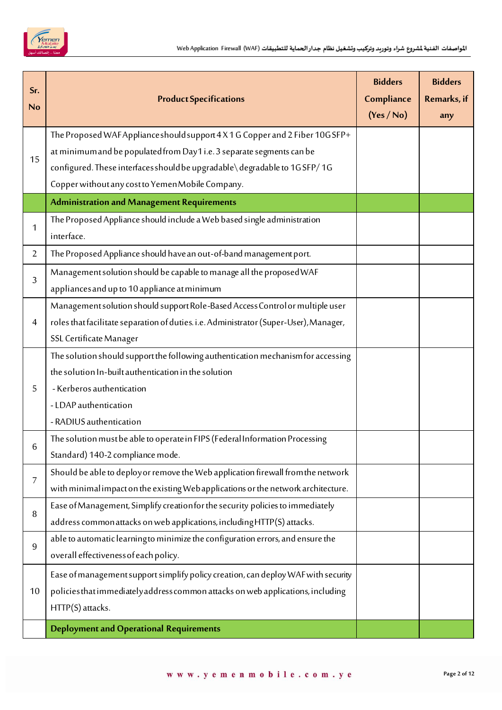

| Sr.<br><b>No</b> | <b>Product Specifications</b>                                                         | <b>Bidders</b><br>Compliance<br>(Yes / No) | <b>Bidders</b><br>Remarks, if<br>any |
|------------------|---------------------------------------------------------------------------------------|--------------------------------------------|--------------------------------------|
|                  | The Proposed WAF Appliance should support 4 X 1 G Copper and 2 Fiber 10G SFP+         |                                            |                                      |
| 15               | at minimum and be populated from Day1 i.e. 3 separate segments can be                 |                                            |                                      |
|                  | configured. These interfaces should be upgradable\ degradable to 1GSFP/1G             |                                            |                                      |
|                  | Copper without any cost to Yemen Mobile Company.                                      |                                            |                                      |
|                  | <b>Administration and Management Requirements</b>                                     |                                            |                                      |
| 1                | The Proposed Appliance should include a Web based single administration               |                                            |                                      |
|                  | interface.                                                                            |                                            |                                      |
| $\overline{2}$   | The Proposed Appliance should have an out-of-band management port.                    |                                            |                                      |
| 3                | Management solution should be capable to manage all the proposed WAF                  |                                            |                                      |
|                  | appliances and up to 10 appliance at minimum                                          |                                            |                                      |
|                  | Management solution should support Role-Based Access Control or multiple user         |                                            |                                      |
| 4                | roles that facilitate separation of duties. i.e. Administrator (Super-User), Manager, |                                            |                                      |
|                  | SSL Certificate Manager                                                               |                                            |                                      |
|                  | The solution should support the following authentication mechanism for accessing      |                                            |                                      |
|                  | the solution In-built authentication in the solution                                  |                                            |                                      |
| 5                | - Kerberos authentication                                                             |                                            |                                      |
|                  | - LDAP authentication                                                                 |                                            |                                      |
|                  | - RADIUS authentication                                                               |                                            |                                      |
| 6                | The solution must be able to operate in FIPS (Federal Information Processing          |                                            |                                      |
|                  | Standard) 140-2 compliance mode.                                                      |                                            |                                      |
| 7                | Should be able to deploy or remove the Web application firewall from the network      |                                            |                                      |
|                  | with minimal impact on the existing Web applications or the network architecture.     |                                            |                                      |
| 8                | Ease of Management, Simplify creation for the security policies to immediately        |                                            |                                      |
|                  | address commonattacks on web applications, including HTTP(S) attacks.                 |                                            |                                      |
| 9                | able to automatic learning to minimize the configuration errors, and ensure the       |                                            |                                      |
|                  | overall effectiveness of each policy.                                                 |                                            |                                      |
|                  | Ease of management support simplify policy creation, can deploy WAF with security     |                                            |                                      |
| 10               | policies that immediately address common attacks on web applications, including       |                                            |                                      |
|                  | HTTP(S) attacks.                                                                      |                                            |                                      |
|                  | <b>Deployment and Operational Requirements</b>                                        |                                            |                                      |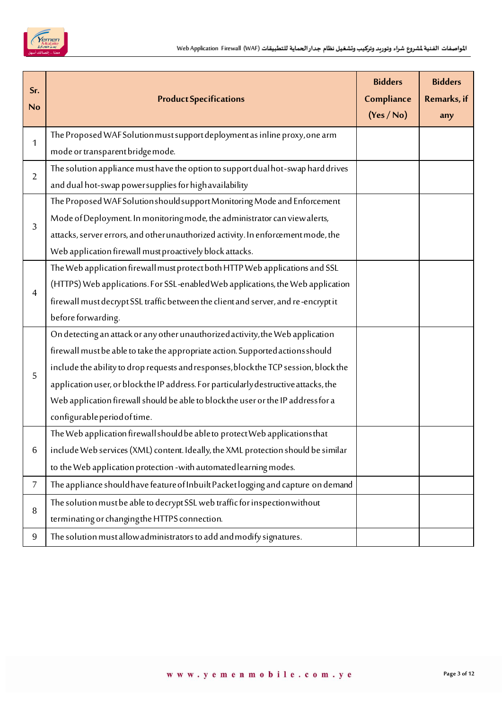

| Sr.<br><b>No</b> | <b>Product Specifications</b>                                                        | <b>Bidders</b><br>Compliance<br>(Yes/No) | <b>Bidders</b><br>Remarks, if<br>any |
|------------------|--------------------------------------------------------------------------------------|------------------------------------------|--------------------------------------|
| 1                | The Proposed WAF Solution must support deployment as inline proxy, one arm           |                                          |                                      |
|                  | mode or transparent bridge mode.                                                     |                                          |                                      |
| $\overline{2}$   | The solution appliance must have the option to support dual hot-swap hard drives     |                                          |                                      |
|                  | and dual hot-swap powersupplies for high availability                                |                                          |                                      |
|                  | The Proposed WAF Solution should support Monitoring Mode and Enforcement             |                                          |                                      |
|                  | Mode of Deployment. In monitoring mode, the administrator can view alerts,           |                                          |                                      |
| 3                | attacks, server errors, and other unauthorized activity. In enforcement mode, the    |                                          |                                      |
|                  | Web application firewall must proactively block attacks.                             |                                          |                                      |
|                  | The Web application firewall must protect both HTTP Web applications and SSL         |                                          |                                      |
|                  | (HTTPS) Web applications. For SSL-enabled Web applications, the Web application      |                                          |                                      |
| 4                | firewall must decrypt SSL traffic between the client and server, and re-encrypt it   |                                          |                                      |
|                  | before forwarding.                                                                   |                                          |                                      |
|                  | On detecting an attack or any other unauthorized activity, the Web application       |                                          |                                      |
|                  | firewall must be able to take the appropriate action. Supported actions should       |                                          |                                      |
| 5                | include the ability to drop requests and responses, block the TCP session, block the |                                          |                                      |
|                  | application user, or blockthe IP address. For particularly destructive attacks, the  |                                          |                                      |
|                  | Web application firewall should be able to block the user or the IP address for a    |                                          |                                      |
|                  | configurable period of time.                                                         |                                          |                                      |
|                  | The Web application firewall should be able to protect Web applications that         |                                          |                                      |
| 6                | include Web services (XML) content. Ideally, the XML protection should be similar    |                                          |                                      |
|                  | to the Web application protection -with automated learning modes.                    |                                          |                                      |
| 7                | The appliance should have feature of Inbuilt Packet logging and capture on demand    |                                          |                                      |
|                  | The solution must be able to decrypt SSL web traffic for inspection without          |                                          |                                      |
| 8                | terminating or changing the HTTPS connection.                                        |                                          |                                      |
| 9                | The solution must allow administrators to add and modify signatures.                 |                                          |                                      |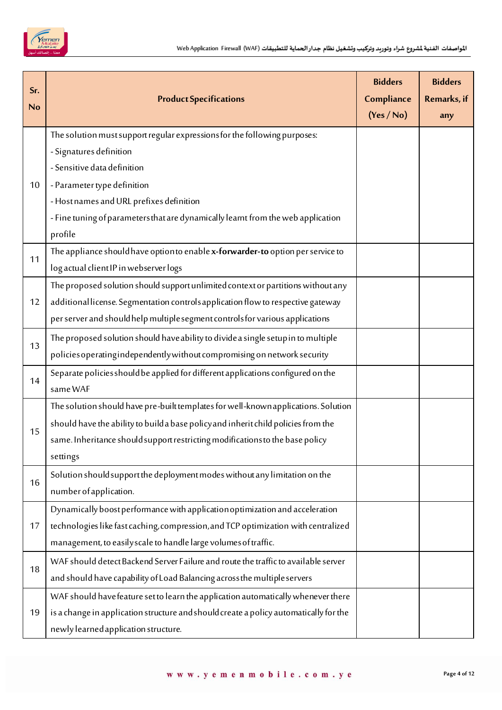

| Sr.<br><b>No</b> | <b>Product Specifications</b>                                                         | <b>Bidders</b><br>Compliance<br>(Yes / No) | <b>Bidders</b><br>Remarks, if<br>any |
|------------------|---------------------------------------------------------------------------------------|--------------------------------------------|--------------------------------------|
|                  | The solution must support regular expressions for the following purposes:             |                                            |                                      |
|                  | - Signatures definition                                                               |                                            |                                      |
|                  | - Sensitive data definition                                                           |                                            |                                      |
| 10               | - Parameter type definition                                                           |                                            |                                      |
|                  | - Host names and URL prefixes definition                                              |                                            |                                      |
|                  | - Fine tuning of parameters that are dynamically learnt from the web application      |                                            |                                      |
|                  | profile                                                                               |                                            |                                      |
| 11               | The appliance should have option to enable x-forwarder-to option per service to       |                                            |                                      |
|                  | log actual client IP in webserver logs                                                |                                            |                                      |
|                  | The proposed solution should support unlimited context or partitions without any      |                                            |                                      |
| 12               | additionallicense. Segmentation controls application flow to respective gateway       |                                            |                                      |
|                  | per server and should help multiple segment controls for various applications         |                                            |                                      |
|                  | The proposed solution should have ability to divide a single setup in to multiple     |                                            |                                      |
| 13               | policies operating independently without compromising on network security             |                                            |                                      |
|                  | Separate policies should be applied for different applications configured on the      |                                            |                                      |
| 14               | same WAF                                                                              |                                            |                                      |
|                  | The solution should have pre-built templates for well-known applications. Solution    |                                            |                                      |
| 15               | should have the ability to build a base policy and inherit child policies from the    |                                            |                                      |
|                  | same. Inheritance should support restricting modifications to the base policy         |                                            |                                      |
|                  | settings                                                                              |                                            |                                      |
|                  | Solution should support the deployment modes without any limitation on the            |                                            |                                      |
| 16               | number of application.                                                                |                                            |                                      |
|                  | Dynamically boost performance with application optimization and acceleration          |                                            |                                      |
| 17               | technologies like fast caching, compression, and TCP optimization with centralized    |                                            |                                      |
|                  | management, to easily scale to handle large volumes of traffic.                       |                                            |                                      |
|                  | WAF should detect Backend Server Failure and route the traffic to available server    |                                            |                                      |
| 18               | and should have capability of Load Balancing across the multiple servers              |                                            |                                      |
|                  | WAF should have feature set to learn the application automatically whenever there     |                                            |                                      |
| 19               | is a change in application structure and should create a policy automatically for the |                                            |                                      |
|                  | newly learned application structure.                                                  |                                            |                                      |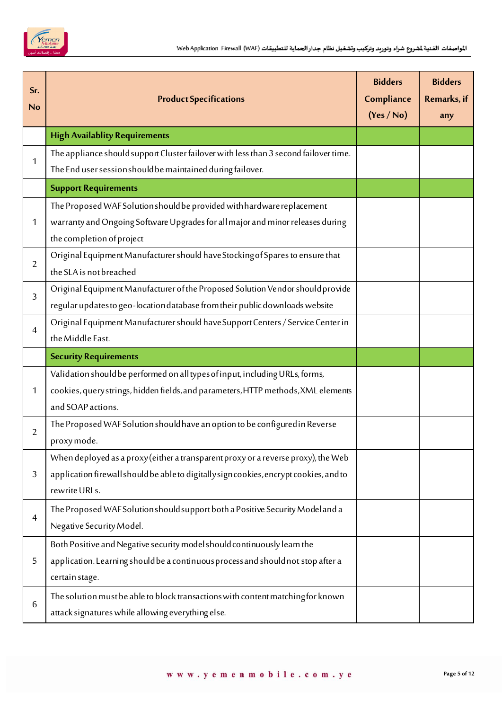

| Sr.<br>No      | <b>Product Specifications</b>                                                          | <b>Bidders</b><br>Compliance<br>(Yes / No) | <b>Bidders</b><br>Remarks, if<br>any |
|----------------|----------------------------------------------------------------------------------------|--------------------------------------------|--------------------------------------|
|                | <b>High Availablity Requirements</b>                                                   |                                            |                                      |
| 1              | The appliance should support Cluster failover with less than 3 second failover time.   |                                            |                                      |
|                | The End user session should be maintained during failover.                             |                                            |                                      |
|                | <b>Support Requirements</b>                                                            |                                            |                                      |
|                | The Proposed WAF Solution should be provided with hardware replacement                 |                                            |                                      |
| 1              | warranty and Ongoing Software Upgrades for all major and minor releases during         |                                            |                                      |
|                | the completion of project                                                              |                                            |                                      |
| 2              | Original Equipment Manufacturer should have Stocking of Spares to ensure that          |                                            |                                      |
|                | the SLA is not breached                                                                |                                            |                                      |
| $\overline{3}$ | Original Equipment Manufacturer of the Proposed Solution Vendor should provide         |                                            |                                      |
|                | regular updates to geo-location database from their public downloads website           |                                            |                                      |
| $\overline{4}$ | Original Equipment Manufacturer should have Support Centers / Service Center in        |                                            |                                      |
|                | the Middle East.                                                                       |                                            |                                      |
|                | <b>Security Requirements</b>                                                           |                                            |                                      |
|                | Validation should be performed on all types of input, including URLs, forms,           |                                            |                                      |
| 1              | cookies, query strings, hidden fields, and parameters, HTTP methods, XML elements      |                                            |                                      |
|                | and SOAP actions.                                                                      |                                            |                                      |
| 2              | The Proposed WAF Solution should have an option to be configured in Reverse            |                                            |                                      |
|                | proxy mode.                                                                            |                                            |                                      |
|                | When deployed as a proxy (either a transparent proxy or a reverse proxy), the Web      |                                            |                                      |
| 3              | application firewall should be able to digitally sign cookies, encrypt cookies, and to |                                            |                                      |
|                | rewrite URLs.                                                                          |                                            |                                      |
| 4              | The Proposed WAF Solution should support both a Positive Security Model and a          |                                            |                                      |
|                | Negative Security Model.                                                               |                                            |                                      |
|                | Both Positive and Negative security model should continuously learn the                |                                            |                                      |
| 5              | application. Learning should be a continuous process and should not stop after a       |                                            |                                      |
|                | certain stage.                                                                         |                                            |                                      |
| 6              | The solution must be able to block transactions with content matching for known        |                                            |                                      |
|                | attack signatures while allowing everything else.                                      |                                            |                                      |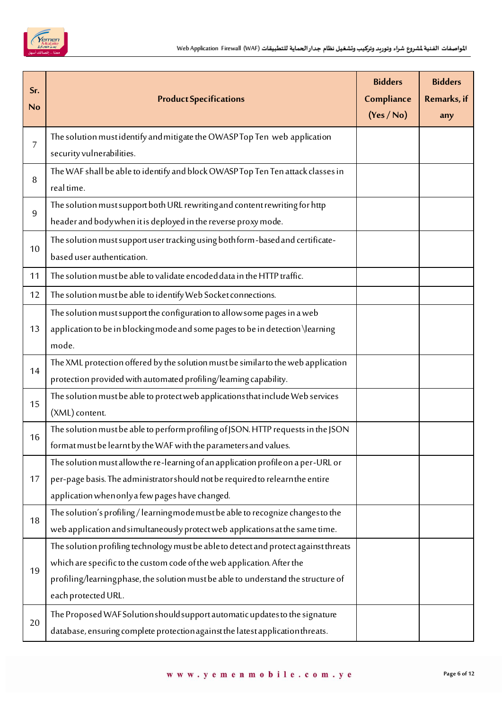

| Sr.<br><b>No</b> | <b>Product Specifications</b>                                                                 | <b>Bidders</b><br>Compliance<br>(Yes / No) | <b>Bidders</b><br>Remarks, if<br>any |
|------------------|-----------------------------------------------------------------------------------------------|--------------------------------------------|--------------------------------------|
| 7                | The solution must identify and mitigate the OWASPTop Ten web application                      |                                            |                                      |
|                  | security vulnerabilities.                                                                     |                                            |                                      |
| 8                | The WAF shall be able to identify and block OWASP Top Ten Ten attack classes in<br>real time. |                                            |                                      |
|                  | The solution must support both URL rewriting and content rewriting for http                   |                                            |                                      |
| 9                | header and body when it is deployed in the reverse proxy mode.                                |                                            |                                      |
|                  | The solution must support user tracking using both form-based and certificate-                |                                            |                                      |
| 10               | based user authentication.                                                                    |                                            |                                      |
| 11               | The solution must be able to validate encoded data in the HTTP traffic.                       |                                            |                                      |
| 12               | The solution must be able to identify Web Socket connections.                                 |                                            |                                      |
|                  | The solution must support the configuration to allow some pages in a web                      |                                            |                                      |
| 13               | application to be in blocking mode and some pages to be in detection \learning                |                                            |                                      |
|                  | mode.                                                                                         |                                            |                                      |
| 14               | The XML protection offered by the solution must be similar to the web application             |                                            |                                      |
|                  | protection provided with automated profiling/learning capability.                             |                                            |                                      |
| 15               | The solution must be able to protect web applications that include Web services               |                                            |                                      |
|                  | (XML) content.                                                                                |                                            |                                      |
| 16               | The solution must be able to perform profiling of JSON. HTTP requests in the JSON             |                                            |                                      |
|                  | format must be learnt by the WAF with the parameters and values.                              |                                            |                                      |
|                  | The solution must allow the re-learning of an application profile on a per-URL or             |                                            |                                      |
| 17               | per-page basis. The administrator should not be required to relearn the entire                |                                            |                                      |
|                  | application when only a few pages have changed.                                               |                                            |                                      |
| 18               | The solution's profiling/learning mode must be able to recognize changes to the               |                                            |                                      |
|                  | web application and simultaneously protect web applications at the same time.                 |                                            |                                      |
|                  | The solution profiling technology must be able to detect and protect against threats          |                                            |                                      |
| 19               | which are specific to the custom code of the web application. After the                       |                                            |                                      |
|                  | profiling/learningphase, the solution must be able to understand the structure of             |                                            |                                      |
|                  | each protected URL.                                                                           |                                            |                                      |
| 20               | The Proposed WAF Solution should support automatic updates to the signature                   |                                            |                                      |
|                  | database, ensuring complete protection against the latest application threats.                |                                            |                                      |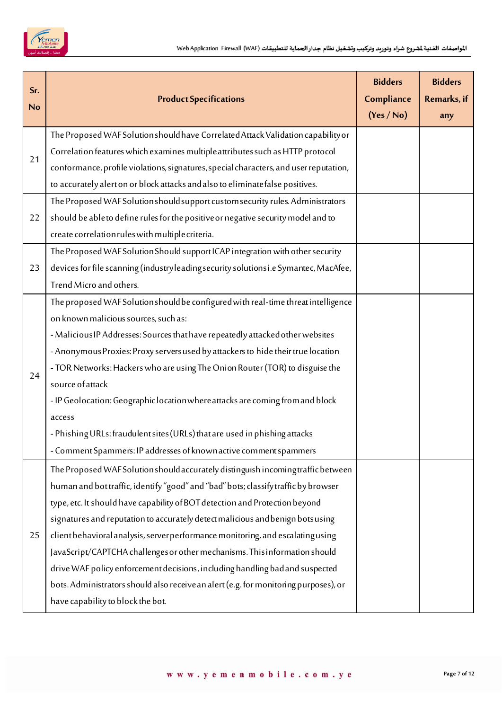

| Sr.<br><b>No</b> | <b>Product Specifications</b>                                                         | <b>Bidders</b><br>Compliance<br>(Yes / No) | <b>Bidders</b><br>Remarks, if<br>any |
|------------------|---------------------------------------------------------------------------------------|--------------------------------------------|--------------------------------------|
|                  | The Proposed WAF Solution should have Correlated Attack Validation capability or      |                                            |                                      |
| 21               | Correlation features which examines multiple attributes such as HTTP protocol         |                                            |                                      |
|                  | conformance, profile violations, signatures, special characters, and user reputation, |                                            |                                      |
|                  | to accurately alert on or block attacks and also to eliminate false positives.        |                                            |                                      |
|                  | The Proposed WAF Solution should support custom security rules. Administrators        |                                            |                                      |
| 22               | should be able to define rules for the positive or negative security model and to     |                                            |                                      |
|                  | create correlation rules with multiple criteria.                                      |                                            |                                      |
|                  | The Proposed WAF Solution Should support ICAP integration with other security         |                                            |                                      |
| 23               | devices for file scanning (industry leading security solutions i.e Symantec, MacAfee, |                                            |                                      |
|                  | Trend Micro and others.                                                               |                                            |                                      |
|                  | The proposed WAF Solution should be configured with real-time threat intelligence     |                                            |                                      |
|                  | on known malicious sources, such as:                                                  |                                            |                                      |
|                  | - Malicious IP Addresses: Sources that have repeatedly attacked other websites        |                                            |                                      |
|                  | - Anonymous Proxies: Proxy servers used by attackers to hide their true location      |                                            |                                      |
|                  | - TOR Networks: Hackers who are using The Onion Router (TOR) to disguise the          |                                            |                                      |
| 24               | source of attack                                                                      |                                            |                                      |
|                  | - IP Geolocation: Geographic location where attacks are coming from and block         |                                            |                                      |
|                  | access                                                                                |                                            |                                      |
|                  | - Phishing URLs: fraudulent sites (URLs) that are used in phishing attacks            |                                            |                                      |
|                  | - Comment Spammers: IP addresses of known active comment spammers                     |                                            |                                      |
|                  | The Proposed WAF Solution should accurately distinguish incoming traffic between      |                                            |                                      |
|                  | human and bot traffic, identify "good" and "bad" bots; classify traffic by browser    |                                            |                                      |
|                  | type, etc. It should have capability of BOT detection and Protection beyond           |                                            |                                      |
|                  | signatures and reputation to accurately detect malicious and benign bots using        |                                            |                                      |
| 25               | client behavioral analysis, server performance monitoring, and escalating using       |                                            |                                      |
|                  | JavaScript/CAPTCHA challenges or other mechanisms. This information should            |                                            |                                      |
|                  | drive WAF policy enforcement decisions, including handling bad and suspected          |                                            |                                      |
|                  | bots. Administrators should also receive an alert (e.g. for monitoring purposes), or  |                                            |                                      |
|                  | have capability to block the bot.                                                     |                                            |                                      |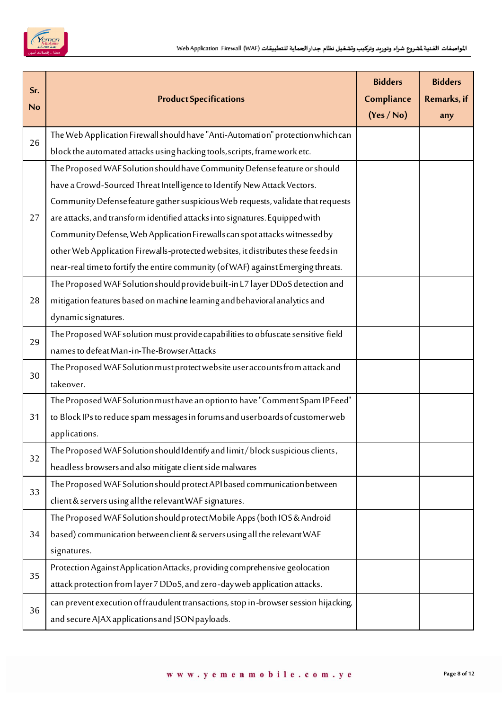

| Sr.<br><b>No</b> | <b>Product Specifications</b>                                                        | <b>Bidders</b><br>Compliance<br>(Yes/No) | <b>Bidders</b><br>Remarks, if<br>any |
|------------------|--------------------------------------------------------------------------------------|------------------------------------------|--------------------------------------|
| 26               | The Web Application Firewall should have "Anti-Automation" protection which can      |                                          |                                      |
|                  | block the automated attacks using hacking tools, scripts, frame work etc.            |                                          |                                      |
|                  | The Proposed WAF Solution should have Community Defense feature or should            |                                          |                                      |
|                  | have a Crowd-Sourced Threat Intelligence to Identify New Attack Vectors.             |                                          |                                      |
|                  | Community Defense feature gather suspicious Web requests, validate that requests     |                                          |                                      |
| 27               | are attacks, and transform identified attacks into signatures. Equipped with         |                                          |                                      |
|                  | Community Defense, Web Application Firewalls can spot attacks witnessed by           |                                          |                                      |
|                  | other Web Application Firewalls-protected websites, it distributes these feeds in    |                                          |                                      |
|                  | near-real time to fortify the entire community (of WAF) against Emerging threats.    |                                          |                                      |
|                  | The Proposed WAF Solution should provide built-in L7 layer DDoS detection and        |                                          |                                      |
| 28               | mitigation features based on machine learning and behavioral analytics and           |                                          |                                      |
|                  | dynamic signatures.                                                                  |                                          |                                      |
| 29               | The Proposed WAF solution must provide capabilities to obfuscate sensitive field     |                                          |                                      |
|                  | names to defeat Man-in-The-Browser Attacks                                           |                                          |                                      |
|                  | The Proposed WAF Solution must protect website user accounts from attack and         |                                          |                                      |
| 30               | takeover.                                                                            |                                          |                                      |
|                  | The Proposed WAF Solution must have an option to have "Comment Spam IP Feed"         |                                          |                                      |
| 31               | to Block IPs to reduce spam messages in forums and userboards of customerweb         |                                          |                                      |
|                  | applications.                                                                        |                                          |                                      |
|                  | The Proposed WAF Solution should Identify and limit / block suspicious clients,      |                                          |                                      |
| 32               | headless browsers and also mitigate client side malwares                             |                                          |                                      |
|                  | The Proposed WAF Solution should protect API based communication between             |                                          |                                      |
| 33               | client & servers using all the relevant WAF signatures.                              |                                          |                                      |
|                  | The Proposed WAF Solution should protect Mobile Apps (both IOS & Android             |                                          |                                      |
| 34               | based) communication between client & servers using all the relevant WAF             |                                          |                                      |
|                  | signatures.                                                                          |                                          |                                      |
|                  | Protection Against Application Attacks, providing comprehensive geolocation          |                                          |                                      |
| 35               | attack protection from layer 7 DDoS, and zero-day web application attacks.           |                                          |                                      |
|                  | can prevent execution of fraudulent transactions, stop in-browser session hijacking, |                                          |                                      |
| 36               | and secure AJAX applications and JSON payloads.                                      |                                          |                                      |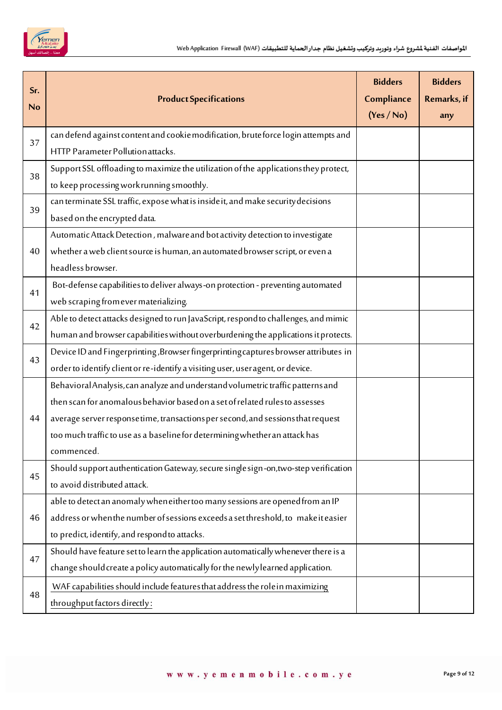

| Sr.<br><b>No</b> | <b>Product Specifications</b>                                                        | <b>Bidders</b><br>Compliance<br>(Yes/No) | <b>Bidders</b><br>Remarks, if<br>any |
|------------------|--------------------------------------------------------------------------------------|------------------------------------------|--------------------------------------|
| 37               | can defend against content and cookie modification, brute force login attempts and   |                                          |                                      |
|                  | HTTP Parameter Pollutionattacks.                                                     |                                          |                                      |
| 38               | Support SSL offloading to maximize the utilization of the applications they protect, |                                          |                                      |
|                  | to keep processing workrunning smoothly.                                             |                                          |                                      |
| 39               | can terminate SSL traffic, expose what is inside it, and make security decisions     |                                          |                                      |
|                  | based on the encrypted data.                                                         |                                          |                                      |
|                  | Automatic Attack Detection, malware and bot activity detection to investigate        |                                          |                                      |
| 40               | whether a web client source is human, an automated browser script, or even a         |                                          |                                      |
|                  | headless browser.                                                                    |                                          |                                      |
| 41               | Bot-defense capabilities to deliver always-on protection - preventing automated      |                                          |                                      |
|                  | web scraping from ever materializing.                                                |                                          |                                      |
| 42               | Able to detect attacks designed to run JavaScript, respond to challenges, and mimic  |                                          |                                      |
|                  | human and browser capabilities without overburdening the applications it protects.   |                                          |                                      |
| 43               | Device ID and Fingerprinting, Browser fingerprinting captures browser attributes in  |                                          |                                      |
|                  | order to identify client or re-identify a visiting user, user agent, or device.      |                                          |                                      |
|                  | Behavioral Analysis, can analyze and understand volumetric traffic patterns and      |                                          |                                      |
|                  | then scan for anomalous behavior based on a set of related rules to assesses         |                                          |                                      |
| 44               | average server responsetime, transactions per second, and sessions that request      |                                          |                                      |
|                  | too much traffic to use as a baseline for determining whether an attack has          |                                          |                                      |
|                  | commenced.                                                                           |                                          |                                      |
| 45               | Should support authentication Gateway, secure singlesign-on, two-step verification   |                                          |                                      |
|                  | to avoid distributed attack.                                                         |                                          |                                      |
|                  | able to detect an anomaly wheneither too many sessions are opened from an IP         |                                          |                                      |
| 46               | address or when the number of sessions exceeds a set threshold, to make it easier    |                                          |                                      |
|                  | to predict, identify, and respond to attacks.                                        |                                          |                                      |
| 47               | Should have feature set to learn the application automatically whenever there is a   |                                          |                                      |
|                  | change should create a policy automatically for the newly learned application.       |                                          |                                      |
|                  | WAF capabilities should include features that address the role in maximizing         |                                          |                                      |
| 48               | throughput factors directly:                                                         |                                          |                                      |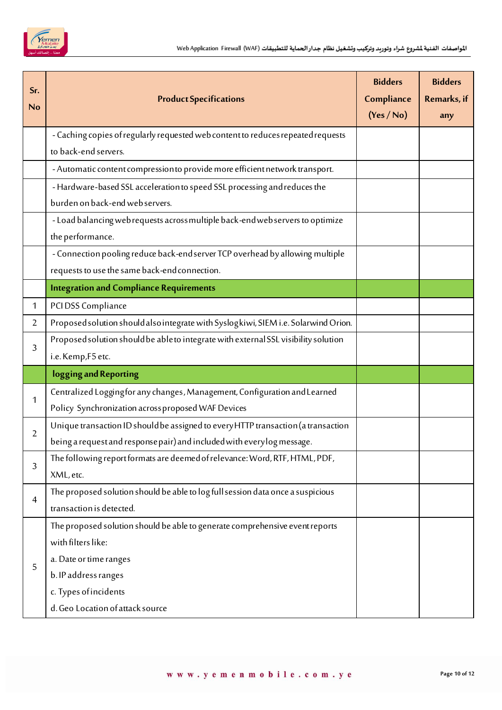

| Sr.<br>No      | <b>Product Specifications</b>                                                                      | <b>Bidders</b><br>Compliance<br>(Yes / No) | <b>Bidders</b><br>Remarks, if<br>any |
|----------------|----------------------------------------------------------------------------------------------------|--------------------------------------------|--------------------------------------|
|                | - Caching copies of regularly requested web content to reduces repeated requests                   |                                            |                                      |
|                | to back-end servers.                                                                               |                                            |                                      |
|                | - Automatic content compression to provide more efficient network transport.                       |                                            |                                      |
|                | - Hardware-based SSL acceleration to speed SSL processing and reduces the                          |                                            |                                      |
|                | burden on back-end web servers.                                                                    |                                            |                                      |
|                | - Load balancing web requests across multiple back-end web servers to optimize<br>the performance. |                                            |                                      |
|                | - Connection pooling reduce back-end server TCP overhead by allowing multiple                      |                                            |                                      |
|                | requests to use the same back-end connection.                                                      |                                            |                                      |
|                | <b>Integration and Compliance Requirements</b>                                                     |                                            |                                      |
| 1              | PCI DSS Compliance                                                                                 |                                            |                                      |
| 2              | Proposed solution should also integrate with Syslog kiwi, SIEM i.e. Solarwind Orion.               |                                            |                                      |
|                | Proposed solution should be able to integrate with external SSL visibility solution                |                                            |                                      |
| 3              | i.e. Kemp, F5 etc.                                                                                 |                                            |                                      |
|                | logging and Reporting                                                                              |                                            |                                      |
| 1              | Centralized Logging for any changes, Management, Configuration and Learned                         |                                            |                                      |
|                | Policy Synchronization across proposed WAF Devices                                                 |                                            |                                      |
| $\overline{2}$ | Unique transaction ID should be assigned to every HTTP transaction (a transaction                  |                                            |                                      |
|                | being a request and response pair) and included with every log message.                            |                                            |                                      |
| 3              | The following report formats are deemed of relevance: Word, RTF, HTML, PDF,                        |                                            |                                      |
|                | XML, etc.                                                                                          |                                            |                                      |
| 4              | The proposed solution should be able to log full session data once a suspicious                    |                                            |                                      |
|                | transaction is detected.                                                                           |                                            |                                      |
|                | The proposed solution should be able to generate comprehensive event reports                       |                                            |                                      |
|                | with filters like:                                                                                 |                                            |                                      |
| 5              | a. Date or time ranges                                                                             |                                            |                                      |
|                | b. IP address ranges                                                                               |                                            |                                      |
|                | c. Types of incidents                                                                              |                                            |                                      |
|                | d. Geo Location of attack source                                                                   |                                            |                                      |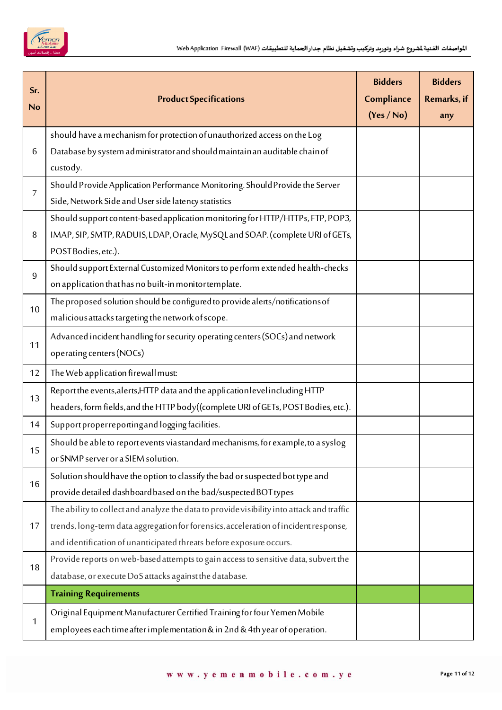

| should have a mechanism for protection of unauthorized access on the Log<br>Database by system administrator and should maintain an auditable chain of<br>6<br>custody. | <b>Bidders</b><br>Remarks, if<br>any |
|-------------------------------------------------------------------------------------------------------------------------------------------------------------------------|--------------------------------------|
|                                                                                                                                                                         |                                      |
|                                                                                                                                                                         |                                      |
|                                                                                                                                                                         |                                      |
| Should Provide Application Performance Monitoring. Should Provide the Server<br>7                                                                                       |                                      |
| Side, Network Side and User side latency statistics                                                                                                                     |                                      |
| Should support content-based application monitoring for HTTP/HTTPs, FTP, POP3,                                                                                          |                                      |
| IMAP, SIP, SMTP, RADUIS, LDAP, Oracle, MySQL and SOAP. (complete URI of GETs,<br>8                                                                                      |                                      |
| POST Bodies, etc.).                                                                                                                                                     |                                      |
| Should support External Customized Monitors to perform extended health-checks<br>9                                                                                      |                                      |
| on application that has no built-in monitor template.                                                                                                                   |                                      |
| The proposed solution should be configured to provide alerts/notifications of<br>10                                                                                     |                                      |
| malicious attacks targeting the network of scope.                                                                                                                       |                                      |
| Advanced incident handling for security operating centers (SOCs) and network                                                                                            |                                      |
| 11<br>operating centers (NOCs)                                                                                                                                          |                                      |
| The Web application firewall must:<br>12                                                                                                                                |                                      |
| Report the events, alerts, HTTP data and the application level including HTTP<br>13                                                                                     |                                      |
| headers, form fields, and the HTTP body ((complete URI of GETs, POST Bodies, etc.).                                                                                     |                                      |
| Support proper reporting and logging facilities.<br>14                                                                                                                  |                                      |
| Should be able to report events viastandard mechanisms, for example, to a syslog                                                                                        |                                      |
| 15<br>or SNMP server or a SIEM solution.                                                                                                                                |                                      |
| Solution should have the option to classify the bad or suspected bot type and                                                                                           |                                      |
| 16<br>provide detailed dashboard based on the bad/suspected BOT types                                                                                                   |                                      |
| The ability to collect and analyze the data to provide visibility into attack and traffic                                                                               |                                      |
| trends, long-term data aggregation for forensics, acceleration of incident response,<br>17                                                                              |                                      |
| and identification of unanticipated threats before exposure occurs.                                                                                                     |                                      |
| Provide reports on web-based attempts to gain access to sensitive data, subvert the<br>18                                                                               |                                      |
| database, or execute DoS attacks against the database.                                                                                                                  |                                      |
| <b>Training Requirements</b>                                                                                                                                            |                                      |
| Original Equipment Manufacturer Certified Training for four Yemen Mobile                                                                                                |                                      |
| 1<br>employees each time after implementation & in 2nd & 4th year of operation.                                                                                         |                                      |